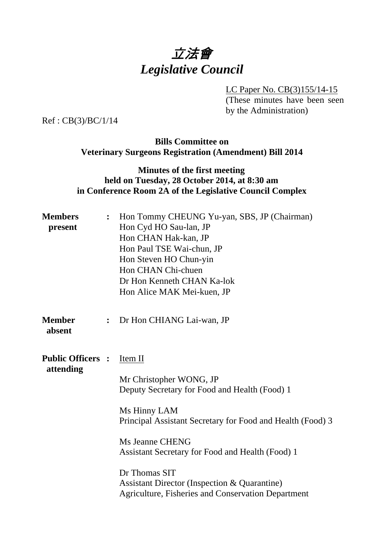# 立法會 *Legislative Council*

LC Paper No. CB(3)155/14-15

(These minutes have been seen by the Administration)

Ref : CB(3)/BC/1/14

#### **Bills Committee on Veterinary Surgeons Registration (Amendment) Bill 2014**

### **Minutes of the first meeting held on Tuesday, 28 October 2014, at 8:30 am in Conference Room 2A of the Legislative Council Complex**

| <b>Members</b><br>present             |                | Hon Tommy CHEUNG Yu-yan, SBS, JP (Chairman)<br>Hon Cyd HO Sau-lan, JP<br>Hon CHAN Hak-kan, JP<br>Hon Paul TSE Wai-chun, JP<br>Hon Steven HO Chun-yin<br>Hon CHAN Chi-chuen<br>Dr Hon Kenneth CHAN Ka-lok<br>Hon Alice MAK Mei-kuen, JP                                                                                                                                            |  |
|---------------------------------------|----------------|-----------------------------------------------------------------------------------------------------------------------------------------------------------------------------------------------------------------------------------------------------------------------------------------------------------------------------------------------------------------------------------|--|
| <b>Member</b><br>absent               | $\ddot{\cdot}$ | Dr Hon CHIANG Lai-wan, JP                                                                                                                                                                                                                                                                                                                                                         |  |
| <b>Public Officers :</b><br>attending |                | Item II<br>Mr Christopher WONG, JP<br>Deputy Secretary for Food and Health (Food) 1<br>Ms Hinny LAM<br>Principal Assistant Secretary for Food and Health (Food) 3<br>Ms Jeanne CHENG<br>Assistant Secretary for Food and Health (Food) 1<br>Dr Thomas SIT<br><b>Assistant Director (Inspection &amp; Quarantine)</b><br><b>Agriculture, Fisheries and Conservation Department</b> |  |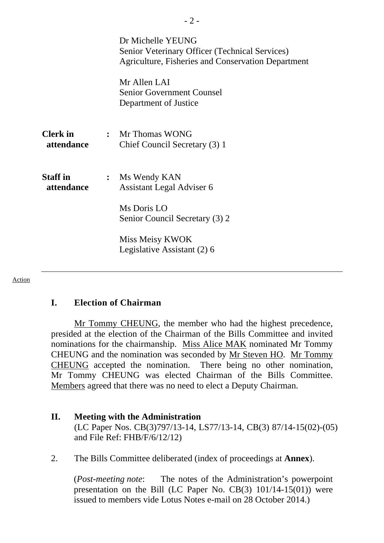|                               | Dr Michelle YEUNG<br>Senior Veterinary Officer (Technical Services)<br>Agriculture, Fisheries and Conservation Department |
|-------------------------------|---------------------------------------------------------------------------------------------------------------------------|
|                               | Mr Allen LAI<br><b>Senior Government Counsel</b><br>Department of Justice                                                 |
| <b>Clerk</b> in<br>attendance | : Mr Thomas WONG<br>Chief Council Secretary (3) 1                                                                         |
| <b>Staff</b> in<br>attendance | : Ms Wendy KAN<br><b>Assistant Legal Adviser 6</b>                                                                        |
|                               | Ms Doris LO<br>Senior Council Secretary (3) 2                                                                             |
|                               | Miss Meisy KWOK<br>Legislative Assistant (2) 6                                                                            |

#### Action

#### **I. Election of Chairman**

 Mr Tommy CHEUNG, the member who had the highest precedence, presided at the election of the Chairman of the Bills Committee and invited nominations for the chairmanship. Miss Alice MAK nominated Mr Tommy CHEUNG and the nomination was seconded by Mr Steven HO. Mr Tommy CHEUNG accepted the nomination. There being no other nomination, Mr Tommy CHEUNG was elected Chairman of the Bills Committee. Members agreed that there was no need to elect a Deputy Chairman.

## **II. Meeting with the Administration**

(LC Paper Nos. CB(3)797/13-14, LS77/13-14, CB(3) 87/14-15(02)-(05) and File Ref: FHB/F/6/12/12)

2. The Bills Committee deliberated (index of proceedings at **Annex**).

(*Post-meeting note*: The notes of the Administration's powerpoint presentation on the Bill (LC Paper No. CB(3) 101/14-15(01)) were issued to members vide Lotus Notes e-mail on 28 October 2014.)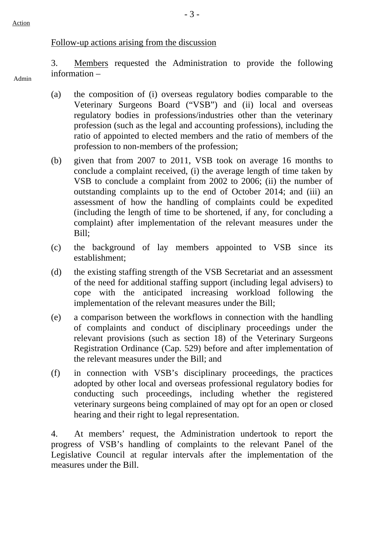Admin

#### Follow-up actions arising from the discussion

3. Members requested the Administration to provide the following information –

- (a) the composition of (i) overseas regulatory bodies comparable to the Veterinary Surgeons Board ("VSB") and (ii) local and overseas regulatory bodies in professions/industries other than the veterinary profession (such as the legal and accounting professions), including the ratio of appointed to elected members and the ratio of members of the profession to non-members of the profession;
- (b) given that from 2007 to 2011, VSB took on average 16 months to conclude a complaint received, (i) the average length of time taken by VSB to conclude a complaint from 2002 to 2006; (ii) the number of outstanding complaints up to the end of October 2014; and (iii) an assessment of how the handling of complaints could be expedited (including the length of time to be shortened, if any, for concluding a complaint) after implementation of the relevant measures under the Bill;
- (c) the background of lay members appointed to VSB since its establishment;
- (d) the existing staffing strength of the VSB Secretariat and an assessment of the need for additional staffing support (including legal advisers) to cope with the anticipated increasing workload following the implementation of the relevant measures under the Bill;
- (e) a comparison between the workflows in connection with the handling of complaints and conduct of disciplinary proceedings under the relevant provisions (such as section 18) of the Veterinary Surgeons Registration Ordinance (Cap. 529) before and after implementation of the relevant measures under the Bill; and
- (f) in connection with VSB's disciplinary proceedings, the practices adopted by other local and overseas professional regulatory bodies for conducting such proceedings, including whether the registered veterinary surgeons being complained of may opt for an open or closed hearing and their right to legal representation.

4. At members' request, the Administration undertook to report the progress of VSB's handling of complaints to the relevant Panel of the Legislative Council at regular intervals after the implementation of the measures under the Bill.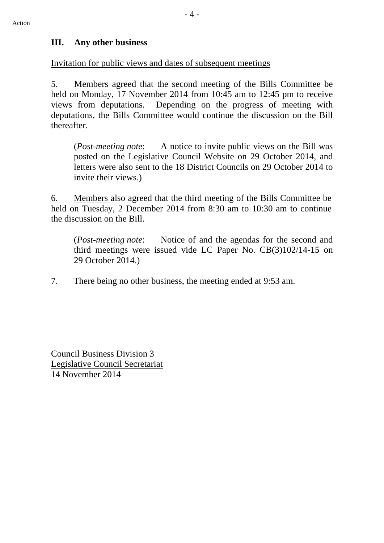#### **III. Any other business**

Invitation for public views and dates of subsequent meetings

5. Members agreed that the second meeting of the Bills Committee be held on Monday, 17 November 2014 from 10:45 am to 12:45 pm to receive views from deputations. Depending on the progress of meeting with deputations, the Bills Committee would continue the discussion on the Bill thereafter.

(*Post-meeting note*: A notice to invite public views on the Bill was posted on the Legislative Council Website on 29 October 2014, and letters were also sent to the 18 District Councils on 29 October 2014 to invite their views.)

6. Members also agreed that the third meeting of the Bills Committee be held on Tuesday, 2 December 2014 from 8:30 am to 10:30 am to continue the discussion on the Bill.

(*Post-meeting note*: Notice of and the agendas for the second and third meetings were issued vide LC Paper No. CB(3)102/14-15 on 29 October 2014.)

7. There being no other business, the meeting ended at 9:53 am.

Council Business Division 3 Legislative Council Secretariat 14 November 2014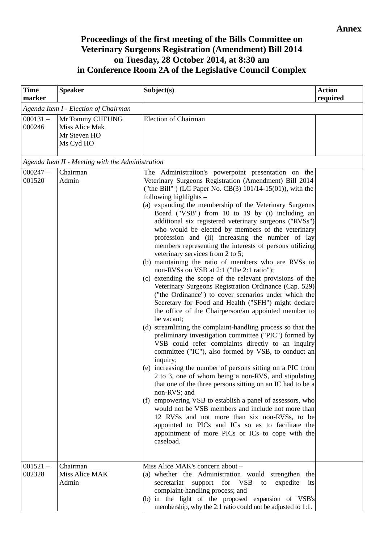## **Proceedings of the first meeting of the Bills Committee on Veterinary Surgeons Registration (Amendment) Bill 2014 on Tuesday, 28 October 2014, at 8:30 am in Conference Room 2A of the Legislative Council Complex**

| <b>Time</b><br>marker | <b>Speaker</b>                                                        | Subject(s)                                                                                                                                                                                                                                                                                                                                                                                                                                                                                                                                                                                                                                                                                                                                                                                                                                                                                                                                                                                                                                                                                                                                                                                                                                                                                                                                                                                                                                                                                                                                                                                                                                                                                                                                            | <b>Action</b><br>required |
|-----------------------|-----------------------------------------------------------------------|-------------------------------------------------------------------------------------------------------------------------------------------------------------------------------------------------------------------------------------------------------------------------------------------------------------------------------------------------------------------------------------------------------------------------------------------------------------------------------------------------------------------------------------------------------------------------------------------------------------------------------------------------------------------------------------------------------------------------------------------------------------------------------------------------------------------------------------------------------------------------------------------------------------------------------------------------------------------------------------------------------------------------------------------------------------------------------------------------------------------------------------------------------------------------------------------------------------------------------------------------------------------------------------------------------------------------------------------------------------------------------------------------------------------------------------------------------------------------------------------------------------------------------------------------------------------------------------------------------------------------------------------------------------------------------------------------------------------------------------------------------|---------------------------|
|                       | Agenda Item I - Election of Chairman                                  |                                                                                                                                                                                                                                                                                                                                                                                                                                                                                                                                                                                                                                                                                                                                                                                                                                                                                                                                                                                                                                                                                                                                                                                                                                                                                                                                                                                                                                                                                                                                                                                                                                                                                                                                                       |                           |
| $000131 -$<br>000246  | Mr Tommy CHEUNG<br><b>Miss Alice Mak</b><br>Mr Steven HO<br>Ms Cyd HO | <b>Election of Chairman</b>                                                                                                                                                                                                                                                                                                                                                                                                                                                                                                                                                                                                                                                                                                                                                                                                                                                                                                                                                                                                                                                                                                                                                                                                                                                                                                                                                                                                                                                                                                                                                                                                                                                                                                                           |                           |
|                       | Agenda Item II - Meeting with the Administration                      |                                                                                                                                                                                                                                                                                                                                                                                                                                                                                                                                                                                                                                                                                                                                                                                                                                                                                                                                                                                                                                                                                                                                                                                                                                                                                                                                                                                                                                                                                                                                                                                                                                                                                                                                                       |                           |
| $000247 -$<br>001520  | Chairman<br>Admin                                                     | The Administration's powerpoint presentation on the<br>Veterinary Surgeons Registration (Amendment) Bill 2014<br>("the Bill") (LC Paper No. CB(3) $101/14-15(01)$ ), with the<br>following highlights -<br>(a) expanding the membership of the Veterinary Surgeons<br>Board ("VSB") from 10 to 19 by (i) including an<br>additional six registered veterinary surgeons ("RVSs")<br>who would be elected by members of the veterinary<br>profession and (ii) increasing the number of lay<br>members representing the interests of persons utilizing<br>veterinary services from 2 to 5;<br>(b) maintaining the ratio of members who are RVSs to<br>non-RVSs on VSB at 2:1 ("the 2:1 ratio");<br>(c) extending the scope of the relevant provisions of the<br>Veterinary Surgeons Registration Ordinance (Cap. 529)<br>("the Ordinance") to cover scenarios under which the<br>Secretary for Food and Health ("SFH") might declare<br>the office of the Chairperson/an appointed member to<br>be vacant;<br>(d) streamlining the complaint-handling process so that the<br>preliminary investigation committee ("PIC") formed by<br>VSB could refer complaints directly to an inquiry<br>committee ("IC"), also formed by VSB, to conduct an<br>inquiry;<br>(e) increasing the number of persons sitting on a PIC from<br>2 to 3, one of whom being a non-RVS, and stipulating<br>that one of the three persons sitting on an IC had to be a<br>non-RVS; and<br>(f) empowering VSB to establish a panel of assessors, who<br>would not be VSB members and include not more than<br>12 RVSs and not more than six non-RVSs, to be<br>appointed to PICs and ICs so as to facilitate the<br>appointment of more PICs or ICs to cope with the<br>caseload. |                           |
| $001521 -$<br>002328  | Chairman<br>Miss Alice MAK<br>Admin                                   | Miss Alice MAK's concern about -<br>(a) whether the Administration would strengthen the<br>secretariat<br>support for VSB<br>expedite<br>its<br>to<br>complaint-handling process; and<br>(b) in the light of the proposed expansion of VSB's<br>membership, why the 2:1 ratio could not be adjusted to 1:1.                                                                                                                                                                                                                                                                                                                                                                                                                                                                                                                                                                                                                                                                                                                                                                                                                                                                                                                                                                                                                                                                                                                                                                                                                                                                                                                                                                                                                                           |                           |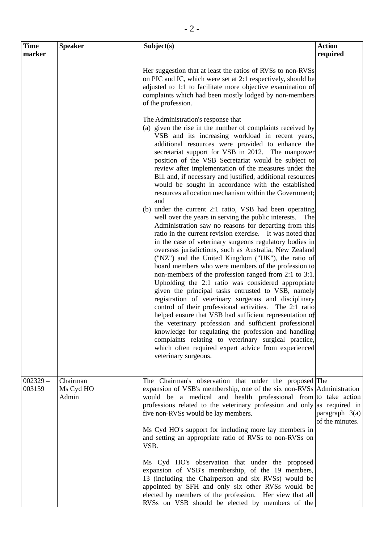| <b>Time</b>          | <b>Speaker</b>                 | Subject(s)                                                                                                                                                                                                                                                                                                                                                                                                                                                                                                                                                                                                                                                                                                                                                                                                                                                                                                                                | <b>Action</b>                       |
|----------------------|--------------------------------|-------------------------------------------------------------------------------------------------------------------------------------------------------------------------------------------------------------------------------------------------------------------------------------------------------------------------------------------------------------------------------------------------------------------------------------------------------------------------------------------------------------------------------------------------------------------------------------------------------------------------------------------------------------------------------------------------------------------------------------------------------------------------------------------------------------------------------------------------------------------------------------------------------------------------------------------|-------------------------------------|
| marker               |                                |                                                                                                                                                                                                                                                                                                                                                                                                                                                                                                                                                                                                                                                                                                                                                                                                                                                                                                                                           | required                            |
|                      |                                | Her suggestion that at least the ratios of RVSs to non-RVSs<br>on PIC and IC, which were set at 2:1 respectively, should be<br>adjusted to 1:1 to facilitate more objective examination of<br>complaints which had been mostly lodged by non-members<br>of the profession.                                                                                                                                                                                                                                                                                                                                                                                                                                                                                                                                                                                                                                                                |                                     |
|                      |                                | The Administration's response that –<br>(a) given the rise in the number of complaints received by<br>VSB and its increasing workload in recent years,<br>additional resources were provided to enhance the<br>secretariat support for VSB in 2012. The manpower<br>position of the VSB Secretariat would be subject to<br>review after implementation of the measures under the<br>Bill and, if necessary and justified, additional resources<br>would be sought in accordance with the established<br>resources allocation mechanism within the Government;<br>and<br>(b) under the current 2:1 ratio, VSB had been operating<br>well over the years in serving the public interests.<br>The<br>Administration saw no reasons for departing from this<br>ratio in the current revision exercise. It was noted that<br>in the case of veterinary surgeons regulatory bodies in<br>overseas jurisdictions, such as Australia, New Zealand |                                     |
|                      |                                | ("NZ") and the United Kingdom ("UK"), the ratio of<br>board members who were members of the profession to<br>non-members of the profession ranged from 2:1 to 3:1.<br>Upholding the 2:1 ratio was considered appropriate<br>given the principal tasks entrusted to VSB, namely<br>registration of veterinary surgeons and disciplinary<br>control of their professional activities. The 2:1 ratio<br>helped ensure that VSB had sufficient representation of<br>the veterinary profession and sufficient professional<br>knowledge for regulating the profession and handling<br>complaints relating to veterinary surgical practice,<br>which often required expert advice from experienced<br>veterinary surgeons.                                                                                                                                                                                                                      |                                     |
| $002329 -$<br>003159 | Chairman<br>Ms Cyd HO<br>Admin | The Chairman's observation that under the proposed The<br>expansion of VSB's membership, one of the six non-RVSs Administration<br>would be a medical and health professional from to take action<br>professions related to the veterinary profession and only as required in<br>five non-RVSs would be lay members.<br>Ms Cyd HO's support for including more lay members in<br>and setting an appropriate ratio of RVSs to non-RVSs on<br>VSB.<br>Ms Cyd HO's observation that under the proposed<br>expansion of VSB's membership, of the 19 members,<br>13 (including the Chairperson and six RVSs) would be<br>appointed by SFH and only six other RVSs would be<br>elected by members of the profession. Her view that all<br>RVSs on VSB should be elected by members of the                                                                                                                                                       | paragraph $3(a)$<br>of the minutes. |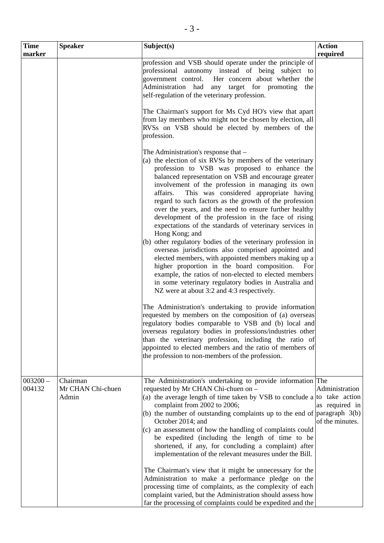| <b>Time</b>          | <b>Speaker</b>                         | Subject(s)                                                                                                                                                                                                                                                                                                                                                                                                                                                                                                                                                                                                                                                                                                                                                                                                                                                                                                                                                                                                                                                                                                                                                                                                                                                                                                                                                                                              | <b>Action</b>                                       |
|----------------------|----------------------------------------|---------------------------------------------------------------------------------------------------------------------------------------------------------------------------------------------------------------------------------------------------------------------------------------------------------------------------------------------------------------------------------------------------------------------------------------------------------------------------------------------------------------------------------------------------------------------------------------------------------------------------------------------------------------------------------------------------------------------------------------------------------------------------------------------------------------------------------------------------------------------------------------------------------------------------------------------------------------------------------------------------------------------------------------------------------------------------------------------------------------------------------------------------------------------------------------------------------------------------------------------------------------------------------------------------------------------------------------------------------------------------------------------------------|-----------------------------------------------------|
| marker               |                                        |                                                                                                                                                                                                                                                                                                                                                                                                                                                                                                                                                                                                                                                                                                                                                                                                                                                                                                                                                                                                                                                                                                                                                                                                                                                                                                                                                                                                         | required                                            |
|                      |                                        | profession and VSB should operate under the principle of<br>professional autonomy instead of being subject to<br>government control. Her concern about whether the<br>Administration had any target for promoting<br>the<br>self-regulation of the veterinary profession.<br>The Chairman's support for Ms Cyd HO's view that apart<br>from lay members who might not be chosen by election, all<br>RVSs on VSB should be elected by members of the<br>profession.                                                                                                                                                                                                                                                                                                                                                                                                                                                                                                                                                                                                                                                                                                                                                                                                                                                                                                                                      |                                                     |
|                      |                                        | The Administration's response that –<br>(a) the election of six RVSs by members of the veterinary<br>profession to VSB was proposed to enhance the<br>balanced representation on VSB and encourage greater<br>involvement of the profession in managing its own<br>This was considered appropriate having<br>affairs.<br>regard to such factors as the growth of the profession<br>over the years, and the need to ensure further healthy<br>development of the profession in the face of rising<br>expectations of the standards of veterinary services in<br>Hong Kong; and<br>(b) other regulatory bodies of the veterinary profession in<br>overseas jurisdictions also comprised appointed and<br>elected members, with appointed members making up a<br>higher proportion in the board composition.<br>For<br>example, the ratios of non-elected to elected members<br>in some veterinary regulatory bodies in Australia and<br>NZ were at about 3:2 and 4:3 respectively.<br>The Administration's undertaking to provide information<br>requested by members on the composition of (a) overseas<br>regulatory bodies comparable to VSB and (b) local and<br>overseas regulatory bodies in professions/industries other<br>than the veterinary profession, including the ratio of<br>appointed to elected members and the ratio of members of<br>the profession to non-members of the profession. |                                                     |
| $003200 -$<br>004132 | Chairman<br>Mr CHAN Chi-chuen<br>Admin | The Administration's undertaking to provide information The<br>requested by Mr CHAN Chi-chuen on -<br>(a) the average length of time taken by VSB to conclude a $\vert$ to take action<br>complaint from 2002 to 2006;<br>(b) the number of outstanding complaints up to the end of $\vert$ paragraph 3(b)<br>October 2014; and<br>(c) an assessment of how the handling of complaints could<br>be expedited (including the length of time to be<br>shortened, if any, for concluding a complaint) after<br>implementation of the relevant measures under the Bill.<br>The Chairman's view that it might be unnecessary for the<br>Administration to make a performance pledge on the<br>processing time of complaints, as the complexity of each<br>complaint varied, but the Administration should assess how<br>far the processing of complaints could be expedited and the                                                                                                                                                                                                                                                                                                                                                                                                                                                                                                                          | Administration<br>as required in<br>of the minutes. |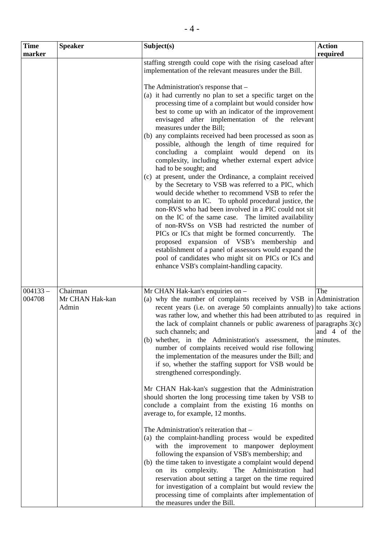| <b>Time</b> | <b>Speaker</b>  | Subject(s)                                                                                                             | <b>Action</b> |
|-------------|-----------------|------------------------------------------------------------------------------------------------------------------------|---------------|
| marker      |                 |                                                                                                                        | required      |
|             |                 | staffing strength could cope with the rising caseload after<br>implementation of the relevant measures under the Bill. |               |
|             |                 | The Administration's response that -                                                                                   |               |
|             |                 | (a) it had currently no plan to set a specific target on the                                                           |               |
|             |                 | processing time of a complaint but would consider how                                                                  |               |
|             |                 | best to come up with an indicator of the improvement                                                                   |               |
|             |                 | envisaged after implementation of the relevant                                                                         |               |
|             |                 | measures under the Bill;                                                                                               |               |
|             |                 | (b) any complaints received had been processed as soon as<br>possible, although the length of time required for        |               |
|             |                 | concluding a complaint would depend on its                                                                             |               |
|             |                 | complexity, including whether external expert advice                                                                   |               |
|             |                 | had to be sought; and                                                                                                  |               |
|             |                 | (c) at present, under the Ordinance, a complaint received                                                              |               |
|             |                 | by the Secretary to VSB was referred to a PIC, which<br>would decide whether to recommend VSB to refer the             |               |
|             |                 | complaint to an IC. To uphold procedural justice, the                                                                  |               |
|             |                 | non-RVS who had been involved in a PIC could not sit                                                                   |               |
|             |                 | on the IC of the same case. The limited availability                                                                   |               |
|             |                 | of non-RVSs on VSB had restricted the number of                                                                        |               |
|             |                 | PICs or ICs that might be formed concurrently.<br>The<br>proposed expansion of VSB's membership                        |               |
|             |                 | and<br>establishment of a panel of assessors would expand the                                                          |               |
|             |                 | pool of candidates who might sit on PICs or ICs and                                                                    |               |
|             |                 | enhance VSB's complaint-handling capacity.                                                                             |               |
|             |                 |                                                                                                                        |               |
| $004133 -$  | Chairman        | Mr CHAN Hak-kan's enquiries on -                                                                                       | The           |
| 004708      | Mr CHAN Hak-kan | (a) why the number of complaints received by VSB in Administration                                                     |               |
|             | Admin           | recent years (i.e. on average 50 complaints annually) to take actions                                                  |               |
|             |                 | was rather low, and whether this had been attributed to as required in                                                 |               |
|             |                 | the lack of complaint channels or public awareness of $\vert$ paragraphs 3(c)                                          |               |
|             |                 | such channels; and<br>(b) whether, in the Administration's assessment, the minutes.                                    | and 4 of the  |
|             |                 | number of complaints received would rise following                                                                     |               |
|             |                 | the implementation of the measures under the Bill; and                                                                 |               |
|             |                 | if so, whether the staffing support for VSB would be                                                                   |               |
|             |                 | strengthened correspondingly.                                                                                          |               |
|             |                 | Mr CHAN Hak-kan's suggestion that the Administration                                                                   |               |
|             |                 | should shorten the long processing time taken by VSB to                                                                |               |
|             |                 | conclude a complaint from the existing 16 months on                                                                    |               |
|             |                 | average to, for example, 12 months.                                                                                    |               |
|             |                 | The Administration's reiteration that -                                                                                |               |
|             |                 | (a) the complaint-handling process would be expedited                                                                  |               |
|             |                 | with the improvement to manpower deployment                                                                            |               |
|             |                 | following the expansion of VSB's membership; and                                                                       |               |
|             |                 | (b) the time taken to investigate a complaint would depend<br>Administration<br>its<br>complexity.<br>The<br>had<br>on |               |
|             |                 | reservation about setting a target on the time required                                                                |               |
|             |                 | for investigation of a complaint but would review the                                                                  |               |
|             |                 | processing time of complaints after implementation of                                                                  |               |
|             |                 | the measures under the Bill.                                                                                           |               |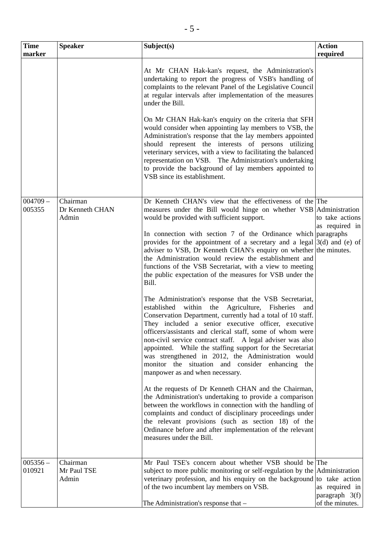| <b>Time</b>          | <b>Speaker</b>                       | Subject(s)                                                                                                                                                                                                                                                                                                                                                                                                                                                                                                                                                                                                                                                                                                                                                                                                                                                                                                                                                                                                                                                                                                                                                                                                                                                                                                                                                                                                                                                                                                                                                          | <b>Action</b>                                         |
|----------------------|--------------------------------------|---------------------------------------------------------------------------------------------------------------------------------------------------------------------------------------------------------------------------------------------------------------------------------------------------------------------------------------------------------------------------------------------------------------------------------------------------------------------------------------------------------------------------------------------------------------------------------------------------------------------------------------------------------------------------------------------------------------------------------------------------------------------------------------------------------------------------------------------------------------------------------------------------------------------------------------------------------------------------------------------------------------------------------------------------------------------------------------------------------------------------------------------------------------------------------------------------------------------------------------------------------------------------------------------------------------------------------------------------------------------------------------------------------------------------------------------------------------------------------------------------------------------------------------------------------------------|-------------------------------------------------------|
| marker               |                                      |                                                                                                                                                                                                                                                                                                                                                                                                                                                                                                                                                                                                                                                                                                                                                                                                                                                                                                                                                                                                                                                                                                                                                                                                                                                                                                                                                                                                                                                                                                                                                                     | required                                              |
|                      |                                      | At Mr CHAN Hak-kan's request, the Administration's<br>undertaking to report the progress of VSB's handling of<br>complaints to the relevant Panel of the Legislative Council<br>at regular intervals after implementation of the measures<br>under the Bill.<br>On Mr CHAN Hak-kan's enquiry on the criteria that SFH<br>would consider when appointing lay members to VSB, the<br>Administration's response that the lay members appointed<br>should represent the interests of persons utilizing<br>veterinary services, with a view to facilitating the balanced<br>representation on VSB. The Administration's undertaking<br>to provide the background of lay members appointed to<br>VSB since its establishment.                                                                                                                                                                                                                                                                                                                                                                                                                                                                                                                                                                                                                                                                                                                                                                                                                                             |                                                       |
|                      |                                      |                                                                                                                                                                                                                                                                                                                                                                                                                                                                                                                                                                                                                                                                                                                                                                                                                                                                                                                                                                                                                                                                                                                                                                                                                                                                                                                                                                                                                                                                                                                                                                     |                                                       |
| $004709 -$<br>005355 | Chairman<br>Dr Kenneth CHAN<br>Admin | Dr Kenneth CHAN's view that the effectiveness of the The<br>measures under the Bill would hinge on whether VSB Administration<br>would be provided with sufficient support.<br>In connection with section 7 of the Ordinance which paragraphs<br>provides for the appointment of a secretary and a legal $3(d)$ and (e) of<br>adviser to VSB, Dr Kenneth CHAN's enquiry on whether the minutes.<br>the Administration would review the establishment and<br>functions of the VSB Secretariat, with a view to meeting<br>the public expectation of the measures for VSB under the<br>Bill.<br>The Administration's response that the VSB Secretariat,<br>established within the Agriculture, Fisheries<br>and<br>Conservation Department, currently had a total of 10 staff.<br>They included a senior executive officer, executive<br>officers/assistants and clerical staff, some of whom were<br>non-civil service contract staff. A legal adviser was also<br>appointed. While the staffing support for the Secretariat<br>was strengthened in 2012, the Administration would<br>monitor the situation and consider enhancing the<br>manpower as and when necessary.<br>At the requests of Dr Kenneth CHAN and the Chairman,<br>the Administration's undertaking to provide a comparison<br>between the workflows in connection with the handling of<br>complaints and conduct of disciplinary proceedings under<br>the relevant provisions (such as section 18) of the<br>Ordinance before and after implementation of the relevant<br>measures under the Bill. | to take actions<br>as required in                     |
|                      |                                      |                                                                                                                                                                                                                                                                                                                                                                                                                                                                                                                                                                                                                                                                                                                                                                                                                                                                                                                                                                                                                                                                                                                                                                                                                                                                                                                                                                                                                                                                                                                                                                     |                                                       |
| $005356 -$<br>010921 | Chairman<br>Mr Paul TSE<br>Admin     | Mr Paul TSE's concern about whether VSB should be The<br>subject to more public monitoring or self-regulation by the Administration<br>veterinary profession, and his enquiry on the background to take action<br>of the two incumbent lay members on VSB.<br>The Administration's response that -                                                                                                                                                                                                                                                                                                                                                                                                                                                                                                                                                                                                                                                                                                                                                                                                                                                                                                                                                                                                                                                                                                                                                                                                                                                                  | as required in<br>paragraph $3(f)$<br>of the minutes. |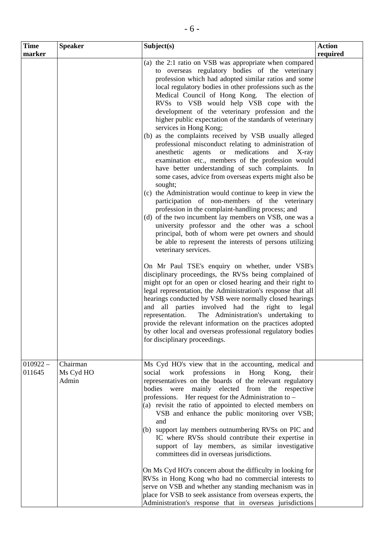| <b>Time</b><br>marker | <b>Speaker</b>                 | Subject(s)                                                                                                                                                                                                                                                                                                                                                                                                                                                                                                                                                                                                                                                                                                                                                                                                                                                                                                                                                                                                                                                                                                                                                                                                                                                                                                                                                                                                                                                                                                                                                                                                                                                                                                                                                                                                                                  | <b>Action</b><br>required |
|-----------------------|--------------------------------|---------------------------------------------------------------------------------------------------------------------------------------------------------------------------------------------------------------------------------------------------------------------------------------------------------------------------------------------------------------------------------------------------------------------------------------------------------------------------------------------------------------------------------------------------------------------------------------------------------------------------------------------------------------------------------------------------------------------------------------------------------------------------------------------------------------------------------------------------------------------------------------------------------------------------------------------------------------------------------------------------------------------------------------------------------------------------------------------------------------------------------------------------------------------------------------------------------------------------------------------------------------------------------------------------------------------------------------------------------------------------------------------------------------------------------------------------------------------------------------------------------------------------------------------------------------------------------------------------------------------------------------------------------------------------------------------------------------------------------------------------------------------------------------------------------------------------------------------|---------------------------|
|                       |                                | (a) the 2:1 ratio on VSB was appropriate when compared<br>to overseas regulatory bodies of the veterinary<br>profession which had adopted similar ratios and some<br>local regulatory bodies in other professions such as the<br>Medical Council of Hong Kong. The election of<br>RVSs to VSB would help VSB cope with the<br>development of the veterinary profession and the<br>higher public expectation of the standards of veterinary<br>services in Hong Kong;<br>(b) as the complaints received by VSB usually alleged<br>professional misconduct relating to administration of<br>anesthetic agents or<br>medications<br>and<br>$X$ -ray<br>examination etc., members of the profession would<br>have better understanding of such complaints.<br>In<br>some cases, advice from overseas experts might also be<br>sought;<br>(c) the Administration would continue to keep in view the<br>participation of non-members of the veterinary<br>profession in the complaint-handling process; and<br>(d) of the two incumbent lay members on VSB, one was a<br>university professor and the other was a school<br>principal, both of whom were pet owners and should<br>be able to represent the interests of persons utilizing<br>veterinary services.<br>On Mr Paul TSE's enquiry on whether, under VSB's<br>disciplinary proceedings, the RVSs being complained of<br>might opt for an open or closed hearing and their right to<br>legal representation, the Administration's response that all<br>hearings conducted by VSB were normally closed hearings<br>and all parties involved had the right to legal<br>representation.<br>The Administration's undertaking to<br>provide the relevant information on the practices adopted<br>by other local and overseas professional regulatory bodies<br>for disciplinary proceedings. |                           |
| $010922 -$<br>011645  | Chairman<br>Ms Cyd HO<br>Admin | Ms Cyd HO's view that in the accounting, medical and<br>professions<br>social work<br>in Hong Kong,<br>their<br>representatives on the boards of the relevant regulatory<br>bodies were mainly elected from the respective<br>professions. Her request for the Administration to -<br>(a) revisit the ratio of appointed to elected members on<br>VSB and enhance the public monitoring over VSB;<br>and<br>(b) support lay members outnumbering RVSs on PIC and<br>IC where RVSs should contribute their expertise in<br>support of lay members, as similar investigative<br>committees did in overseas jurisdictions.<br>On Ms Cyd HO's concern about the difficulty in looking for<br>RVSs in Hong Kong who had no commercial interests to<br>serve on VSB and whether any standing mechanism was in<br>place for VSB to seek assistance from overseas experts, the<br>Administration's response that in overseas jurisdictions                                                                                                                                                                                                                                                                                                                                                                                                                                                                                                                                                                                                                                                                                                                                                                                                                                                                                                          |                           |